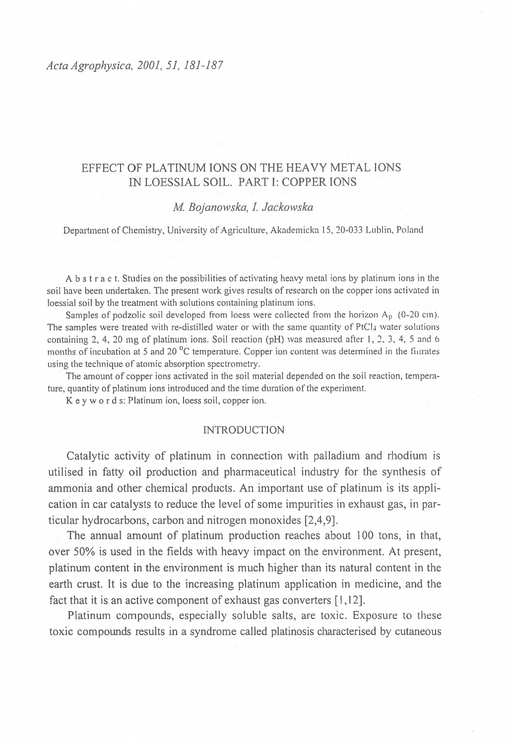# EFFECT OF PLATINUM IONS ON THE HEAVY METAL IONS IN LOESSIAL SOIL. PART I: COPPER IONS

# *M Bojanowska, I. Jackowska*

Department of Chemistry, University of Agriculture, Akademicka 15, 20-033 Lublin, Poland

A b s t r a c t. Studies on the possibilities of activating heavy metal ions by platinum ions in the soil have been undertaken. The present work gives results of research on the copper ions activated in loessial soil by the treatment with solutions containing platinum ions.

Samples of podzolic soil developed from loess were collected from the horizon  $A<sub>p</sub>$  (0-20 cm). The samples were treated with re-distilled water or with the same quantity of PtCl<sub>+</sub> water solutions containing 2, 4, 20 mg of platinum ions. Soil reaction (pH) was measured after 1, 2, 3, 4, 5 and 6 months of incubation at 5 and 20 $\degree$ C temperature. Copper ion content was determined in the finalties using the technique of atomic absorption spectrometry.

The amount of copper ions activated in the soil material depended on the soil reaction, temperature, quantity of platinum ions introduced and the time duration of the experiment.

K e y w o r d s: Platinum ion, loess soil, copper ion.

#### INTRODUCTION

Catalytic activity of platinum in connection with palladium and rhodium is utilised in fatty oil production and pharmaceutical industry for the synthesis of ammonia and other chemical products. An important use of platinum is its application in car catalysts to reduce the level of some impurities in exhaust gas, in particular hydrocarbons, carbon and nitrogen monoxides [2,4,9].

The annual amount of platinum production reaches about 100 tons, in that, over 50% is used in the fields with heavy impact on the environment. At present, platinum content in the environment is much higher than its natural content in the earth crust. It is due to the increasing platinum application in medicine, and the fact that it is an active component of exhaust gas converters [1,12].

Platinum compounds, especially soluble salts, are toxic. Exposure to these toxic compounds results in a syndrome called platinosis characterised by cutaneous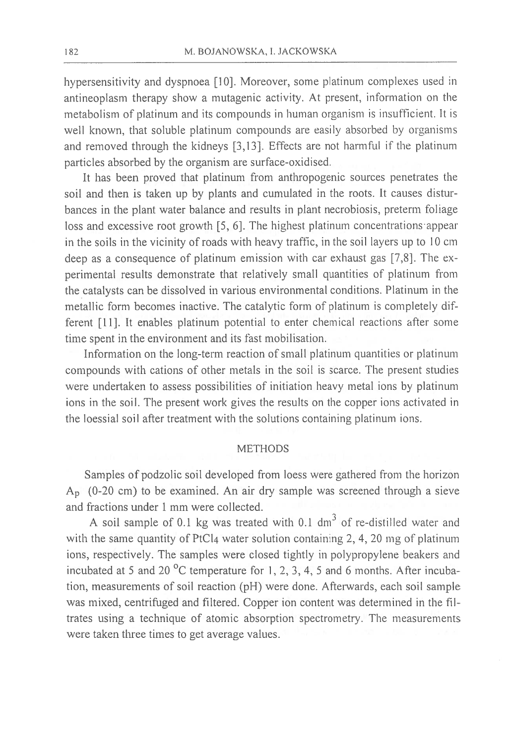hypersensitivity and dyspnoea [10]. Moreover, some platinum complexes used in antineoplasm therapy show a mutagenic activity. At present, information on the metabolism of platinum and its compounds in human organism is insufficient. It is well known, that soluble platinum compounds are easily absorbed by organisms and removed through the kidneys [3,13]. Effects are not harmful if the platinum particles absorbed by the organism are surface-oxidised.

It has been proved that platinum from anthropogenic sources penetrates the soil and then is taken up by plants and cumulated in the roots. It causes disturbances in the plant water balance and results in plant necrobiosis, preterm foliage loss and excessive root growth [5, 6]. The highest platinum concentrations appear in the soils in the vicinity of roads with heavy traffic, in the soil layers up to 10 cm deep as a consequence of platinum emission with car exhaust gas [7,8]. The experimental results demonstrate that relatively small quantities of platinum from the catalysts can be dissolved in various environmental conditions. Platinum in the metallic form becomes inactive. The catalytic form of platinum is completely different [11]. It enables platinum potential to enter chemical reactions after some time spent in the environment and its fast mobilisation.

Information on the long-term reaction of small platinum quantities or platinum compounds with cations of other metals in the soil is scarce. The present studies were undertaken to assess possibilities of initiation heavy metal ions by platinum ions in the soil. The present work gives the results on the copper ions activated in the loessial soil after treatment with the solutions containing platinum ions.

# **METHODS**

Samples of podzolic soil developed from loess were gathered from the horizon  $A<sub>p</sub>$  (0-20 cm) to be examined. An air dry sample was screened through a sieve and fractions under 1 mm were collected.

A soil sample of 0.1 kg was treated with 0.1 dm<sup>3</sup> of re-distilled water and with the same quantity of PtCl<sub>4</sub> water solution containing 2, 4, 20 mg of platinum ions, respectively. The samples were closed tightly in polypropylene beakers and incubated at 5 and 20  $^{\circ}$ C temperature for 1, 2, 3, 4, 5 and 6 months. After incubation, measurements of soil reaction (pH) were done. Afterwards, each soil sample was mixed, centrifuged and filtered. Copper ion content was determined in the filtrates using a technique of atomic absorption spectrometry. The measurements were taken three times to get average values.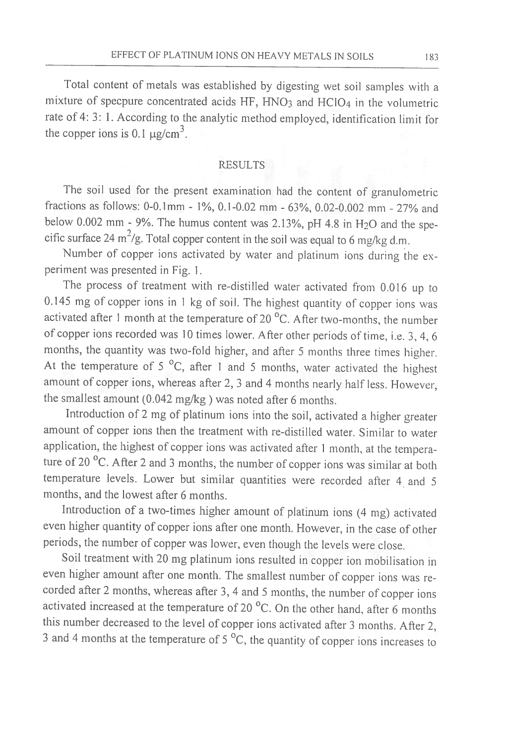Total content of metals was established by digesting wet soil samples with a mixture of specpure concentrated acids HF, HNO<sub>3</sub> and HClO<sub>4</sub> in the volumetric rate of 4: 3: 1. According to the analytic method employed, identification limit for the copper ions is 0.1  $\mu$ g/cm<sup>3</sup>.

#### **RESULTS**

The soil used for the present examination had the content of granulometric fractions as follows: 0-0.1mm - 1%, 0.1-0.02 mm - 63%, 0.02-0.002 mm - 27% and below 0.002 mm - 9%. The humus content was 2.13%, pH 4.8 in H<sub>2</sub>O and the specific surface 24  $\text{m}^2/\text{g}$ . Total copper content in the soil was equal to 6 mg/kg d.m.

Number of copper ions activated by water and platinum ions during the experiment was presented in Fig. 1.

The process of treatment with re-distilled water activated from 0.016 up to 0.145 mg of copper ions in 1 kg of soil. The highest quantity of copper ions was activated after 1 month at the temperature of 20 °C. After two-months, the number of copper ions recorded was 10 times lower. After other periods of time, i.e. 3, 4, 6 months, the quantity was two-fold higher, and after 5 months three times higher. At the temperature of  $5^{\circ}$ C, after 1 and 5 months, water activated the highest amount of copper ions, whereas after 2, 3 and 4 months nearly half less. However, the smallest amount (0.042 mg/kg) was noted after 6 months.

Introduction of 2 mg of platinum ions into the soil, activated a higher greater amount of copper ions then the treatment with re-distilled water. Similar to water application, the highest of copper ions was activated after 1 month, at the temperature of 20 °C. After 2 and 3 months, the number of copper ions was similar at both temperature levels. Lower but similar quantities were recorded after 4 and 5 months, and the lowest after 6 months.

Introduction of a two-times higher amount of platinum ions (4 mg) activated even higher quantity of copper ions after one month. However, in the case of other periods, the number of copper was lower, even though the levels were close.

Soil treatment with 20 mg platinum ions resulted in copper ion mobilisation in even higher amount after one month. The smallest number of copper ions was recorded after 2 months, whereas after 3, 4 and 5 months, the number of copper ions activated increased at the temperature of 20 °C. On the other hand, after 6 months this number decreased to the level of copper ions activated after 3 months. After 2, 3 and 4 months at the temperature of  $5^{\circ}$ C, the quantity of copper ions increases to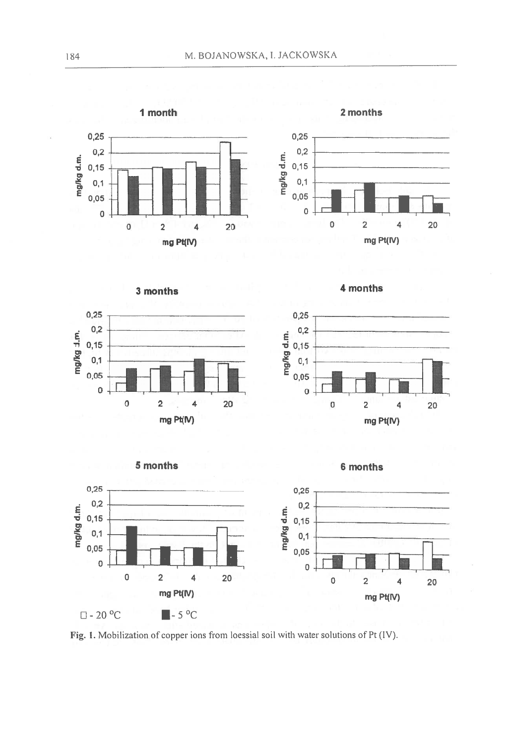1 month









4 months





mg/kg d.m.







Fig. 1. Mobilization of copper ions from loessial soil with water solutions of Pt (IV).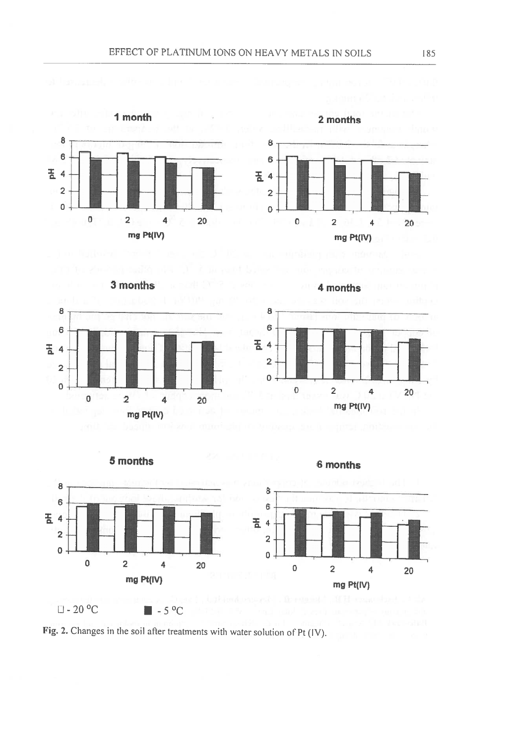



3 months





4 months

mg Pt(IV)



Fig. 2. Changes in the soil after treatments with water solution of Pt (IV).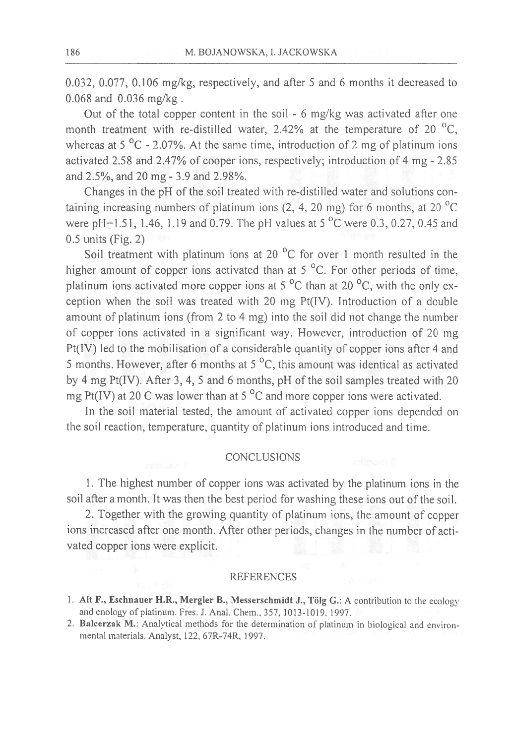0.032, 0.077, 0.106 mg/kg, respectively, and after 5 and 6 months it decreased to  $0.068$  and  $0.036$  mg/kg.

Out of the total copper content in the soil - 6 mg/kg was activated after one month treatment with re-distilled water, 2.42% at the temperature of 20  $^{\circ}$ C, whereas at  $5^{\circ}$ C - 2.07%. At the same time, introduction of 2 mg of platinum ions activated 2.58 and 2.47% of cooper ions, respectively; introduction of 4 mg - 2.85 and 2.5%, and 20 mg - 3.9 and 2.98%.

Changes in the pH of the soil treated with re-distilled water and solutions containing increasing numbers of platinum ions  $(2, 4, 20 \text{ mg})$  for 6 months, at 20 °C were pH=1.51, 1.46, 1.19 and 0.79. The pH values at 5  $^{\circ}$ C were 0.3, 0.27, 0.45 and  $0.5$  units (Fig. 2)

Soil treatment with platinum ions at 20 °C for over 1 month resulted in the higher amount of copper ions activated than at 5 °C. For other periods of time, platinum ions activated more copper ions at 5  $^{\circ}$ C than at 20  $^{\circ}$ C, with the only exception when the soil was treated with 20 mg Pt(IV). Introduction of a double amount of platinum ions (from 2 to 4 mg) into the soil did not change the number of copper ions activated in a significant way. However, introduction of 20 mg  $Pt(IV)$  led to the mobilisation of a considerable quantity of copper ions after 4 and 5 months. However, after 6 months at  $5^{\circ}$ C, this amount was identical as activated by 4 mg Pt(IV). After 3, 4, 5 and 6 months, pH of the soil samples treated with 20 mg Pt(IV) at 20 C was lower than at 5  $^{\circ}$ C and more copper ions were activated.

In the soil material tested, the amount of activated copper ions depended on the soil reaction, temperature, quantity of platinum ions introduced and time.

#### **CONCLUSIONS**

1. The highest number of copper ions was activated by the platinum ions in the soil after a month. It was then the best period for washing these ions out of the soil.

2. Together with the growing quantity of platinum ions, the amount of copper ions increased after one month. After other periods, changes in the number of activated copper ions were explicit.

# **REFERENCES**

- 1. Alt F., Eschnauer H.R., Mergler B., Messerschmidt J., Tölg G.: A contribution to the ecology and enology of platinum. Fres. J. Anal. Chem., 357, 1013-1019, 1997.
- 2. Balcerzak M.: Analytical methods for the determination of platinum in biological and environmental materials. Analyst, 122, 67R-74R, 1997.